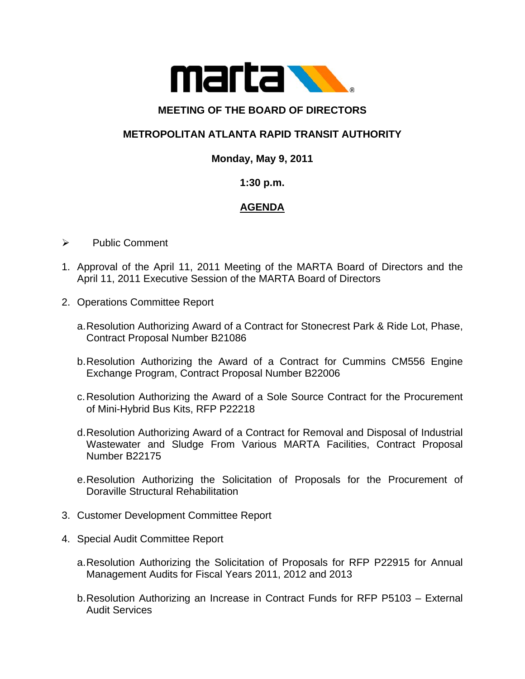

### **MEETING OF THE BOARD OF DIRECTORS**

## **METROPOLITAN ATLANTA RAPID TRANSIT AUTHORITY**

#### **Monday, May 9, 2011**

#### **1:30 p.m.**

# **AGENDA**

- ¾ Public Comment
- 1. Approval of the April 11, 2011 Meeting of the MARTA Board of Directors and the April 11, 2011 Executive Session of the MARTA Board of Directors
- 2. Operations Committee Report
	- a. Resolution Authorizing Award of a Contract for Stonecrest Park & Ride Lot, Phase, Contract Proposal Number B21086
	- b. Resolution Authorizing the Award of a Contract for Cummins CM556 Engine Exchange Program, Contract Proposal Number B22006
	- c. Resolution Authorizing the Award of a Sole Source Contract for the Procurement of Mini-Hybrid Bus Kits, RFP P22218
	- d. Resolution Authorizing Award of a Contract for Removal and Disposal of Industrial Wastewater and Sludge From Various MARTA Facilities, Contract Proposal Number B22175
	- e. Resolution Authorizing the Solicitation of Proposals for the Procurement of Doraville Structural Rehabilitation
- 3. Customer Development Committee Report
- 4. Special Audit Committee Report
	- a. Resolution Authorizing the Solicitation of Proposals for RFP P22915 for Annual Management Audits for Fiscal Years 2011, 2012 and 2013
	- b. Resolution Authorizing an Increase in Contract Funds for RFP P5103 External Audit Services